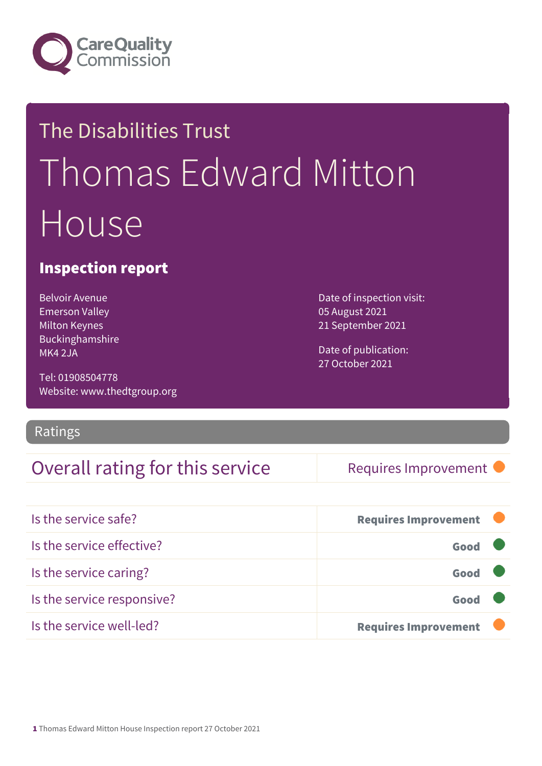

## The Disabilities Trust Thomas Edward Mitton House

#### Inspection report

Belvoir Avenue Emerson Valley Milton Keynes Buckinghamshire MK4 2JA

Tel: 01908504778 Website: www.thedtgroup.org

Ratings

### Overall rating for this service Requires Improvement

Date of inspection visit: 05 August 2021 21 September 2021

Date of publication: 27 October 2021

| Is the service safe?       | <b>Requires Improvement</b> |
|----------------------------|-----------------------------|
| Is the service effective?  | Good                        |
| Is the service caring?     | Good                        |
| Is the service responsive? | Good                        |
| Is the service well-led?   | <b>Requires Improvement</b> |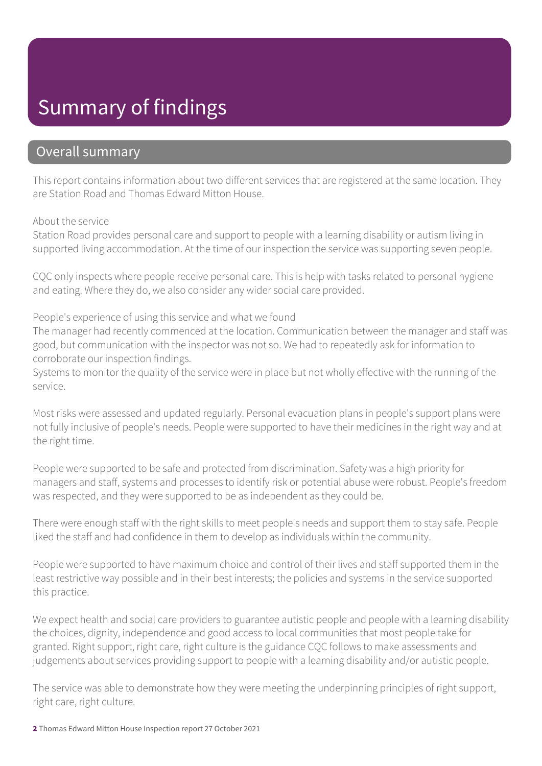### Summary of findings

#### Overall summary

This report contains information about two different services that are registered at the same location. They are Station Road and Thomas Edward Mitton House.

#### About the service

Station Road provides personal care and support to people with a learning disability or autism living in supported living accommodation. At the time of our inspection the service was supporting seven people.

CQC only inspects where people receive personal care. This is help with tasks related to personal hygiene and eating. Where they do, we also consider any wider social care provided.

People's experience of using this service and what we found

The manager had recently commenced at the location. Communication between the manager and staff was good, but communication with the inspector was not so. We had to repeatedly ask for information to corroborate our inspection findings.

Systems to monitor the quality of the service were in place but not wholly effective with the running of the service.

Most risks were assessed and updated regularly. Personal evacuation plans in people's support plans were not fully inclusive of people's needs. People were supported to have their medicines in the right way and at the right time.

People were supported to be safe and protected from discrimination. Safety was a high priority for managers and staff, systems and processes to identify risk or potential abuse were robust. People's freedom was respected, and they were supported to be as independent as they could be.

There were enough staff with the right skills to meet people's needs and support them to stay safe. People liked the staff and had confidence in them to develop as individuals within the community.

People were supported to have maximum choice and control of their lives and staff supported them in the least restrictive way possible and in their best interests; the policies and systems in the service supported this practice.

We expect health and social care providers to guarantee autistic people and people with a learning disability the choices, dignity, independence and good access to local communities that most people take for granted. Right support, right care, right culture is the guidance CQC follows to make assessments and judgements about services providing support to people with a learning disability and/or autistic people.

The service was able to demonstrate how they were meeting the underpinning principles of right support, right care, right culture.

2 Thomas Edward Mitton House Inspection report 27 October 2021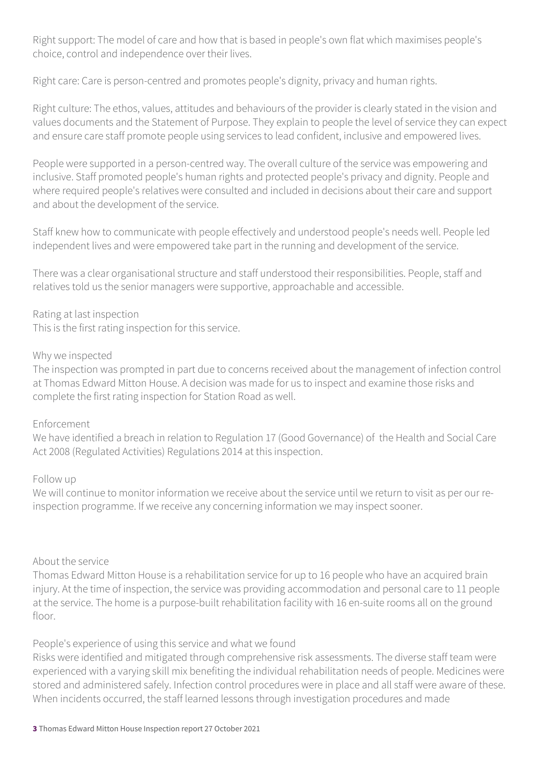Right support: The model of care and how that is based in people's own flat which maximises people's choice, control and independence over their lives.

Right care: Care is person-centred and promotes people's dignity, privacy and human rights.

Right culture: The ethos, values, attitudes and behaviours of the provider is clearly stated in the vision and values documents and the Statement of Purpose. They explain to people the level of service they can expect and ensure care staff promote people using services to lead confident, inclusive and empowered lives.

People were supported in a person-centred way. The overall culture of the service was empowering and inclusive. Staff promoted people's human rights and protected people's privacy and dignity. People and where required people's relatives were consulted and included in decisions about their care and support and about the development of the service.

Staff knew how to communicate with people effectively and understood people's needs well. People led independent lives and were empowered take part in the running and development of the service.

There was a clear organisational structure and staff understood their responsibilities. People, staff and relatives told us the senior managers were supportive, approachable and accessible.

Rating at last inspection

This is the first rating inspection for this service.

#### Why we inspected

The inspection was prompted in part due to concerns received about the management of infection control at Thomas Edward Mitton House. A decision was made for us to inspect and examine those risks and complete the first rating inspection for Station Road as well.

#### Enforcement

We have identified a breach in relation to Regulation 17 (Good Governance) of the Health and Social Care Act 2008 (Regulated Activities) Regulations 2014 at this inspection.

#### Follow up

We will continue to monitor information we receive about the service until we return to visit as per our reinspection programme. If we receive any concerning information we may inspect sooner.

#### About the service

Thomas Edward Mitton House is a rehabilitation service for up to 16 people who have an acquired brain injury. At the time of inspection, the service was providing accommodation and personal care to 11 people at the service. The home is a purpose-built rehabilitation facility with 16 en-suite rooms all on the ground floor.

People's experience of using this service and what we found

Risks were identified and mitigated through comprehensive risk assessments. The diverse staff team were experienced with a varying skill mix benefiting the individual rehabilitation needs of people. Medicines were stored and administered safely. Infection control procedures were in place and all staff were aware of these. When incidents occurred, the staff learned lessons through investigation procedures and made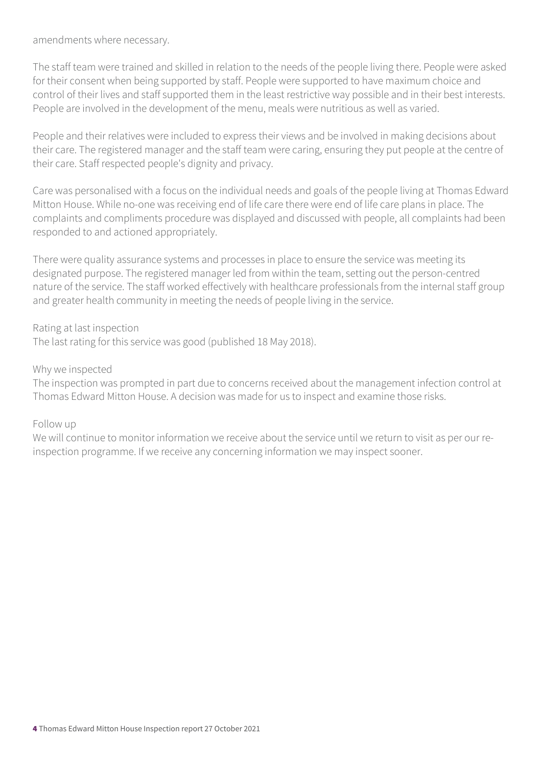amendments where necessary.

The staff team were trained and skilled in relation to the needs of the people living there. People were asked for their consent when being supported by staff. People were supported to have maximum choice and control of their lives and staff supported them in the least restrictive way possible and in their best interests. People are involved in the development of the menu, meals were nutritious as well as varied.

People and their relatives were included to express their views and be involved in making decisions about their care. The registered manager and the staff team were caring, ensuring they put people at the centre of their care. Staff respected people's dignity and privacy.

Care was personalised with a focus on the individual needs and goals of the people living at Thomas Edward Mitton House. While no-one was receiving end of life care there were end of life care plans in place. The complaints and compliments procedure was displayed and discussed with people, all complaints had been responded to and actioned appropriately.

There were quality assurance systems and processes in place to ensure the service was meeting its designated purpose. The registered manager led from within the team, setting out the person-centred nature of the service. The staff worked effectively with healthcare professionals from the internal staff group and greater health community in meeting the needs of people living in the service.

#### Rating at last inspection

The last rating for this service was good (published 18 May 2018).

#### Why we inspected

The inspection was prompted in part due to concerns received about the management infection control at Thomas Edward Mitton House. A decision was made for us to inspect and examine those risks.

#### Follow up

We will continue to monitor information we receive about the service until we return to visit as per our reinspection programme. If we receive any concerning information we may inspect sooner.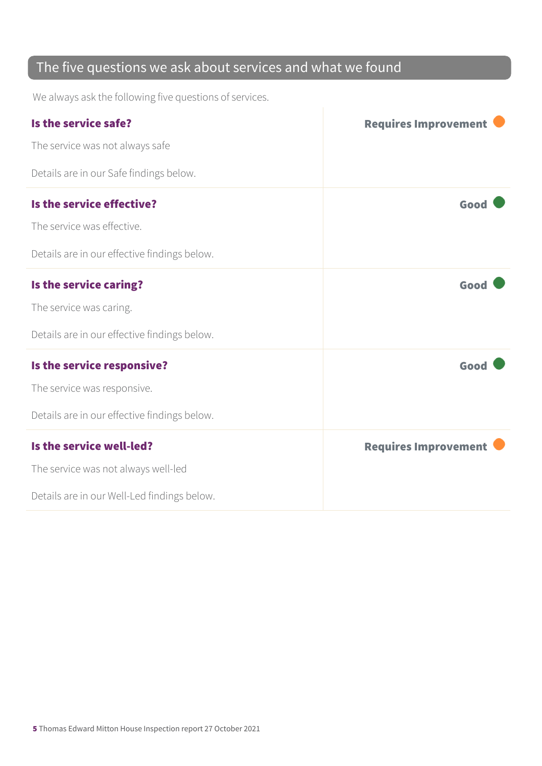### The five questions we ask about services and what we found

We always ask the following five questions of services.

| Is the service safe?                         | <b>Requires Improvement</b> |
|----------------------------------------------|-----------------------------|
| The service was not always safe              |                             |
| Details are in our Safe findings below.      |                             |
| Is the service effective?                    | Good                        |
| The service was effective.                   |                             |
| Details are in our effective findings below. |                             |
| Is the service caring?                       | Good                        |
| The service was caring.                      |                             |
| Details are in our effective findings below. |                             |
| Is the service responsive?                   | Good                        |
| The service was responsive.                  |                             |
| Details are in our effective findings below. |                             |
| Is the service well-led?                     | <b>Requires Improvement</b> |
| The service was not always well-led          |                             |
| Details are in our Well-Led findings below.  |                             |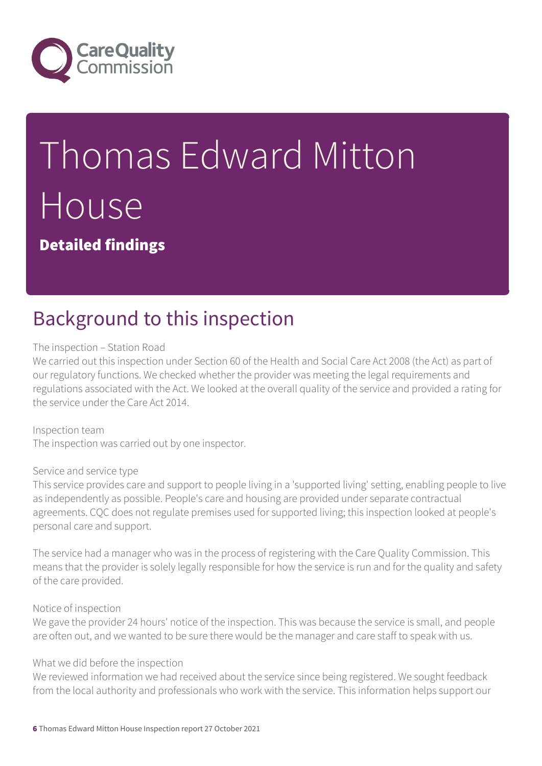

# Thomas Edward Mitton House

Detailed findings

### Background to this inspection

#### The inspection – Station Road

We carried out this inspection under Section 60 of the Health and Social Care Act 2008 (the Act) as part of our regulatory functions. We checked whether the provider was meeting the legal requirements and regulations associated with the Act. We looked at the overall quality of the service and provided a rating for the service under the Care Act 2014.

Inspection team The inspection was carried out by one inspector.

#### Service and service type

This service provides care and support to people living in a 'supported living' setting, enabling people to live as independently as possible. People's care and housing are provided under separate contractual agreements. CQC does not regulate premises used for supported living; this inspection looked at people's personal care and support.

The service had a manager who was in the process of registering with the Care Quality Commission. This means that the provider is solely legally responsible for how the service is run and for the quality and safety of the care provided.

#### Notice of inspection

We gave the provider 24 hours' notice of the inspection. This was because the service is small, and people are often out, and we wanted to be sure there would be the manager and care staff to speak with us.

#### What we did before the inspection

We reviewed information we had received about the service since being registered. We sought feedback from the local authority and professionals who work with the service. This information helps support our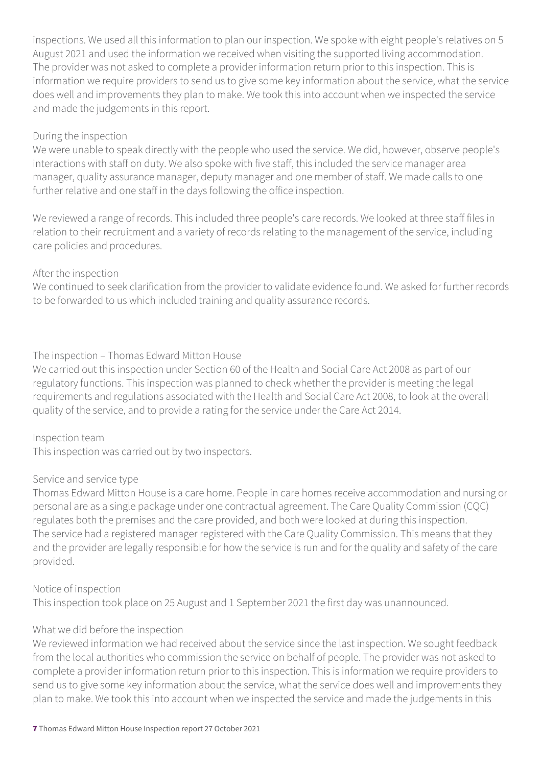inspections. We used all this information to plan our inspection. We spoke with eight people's relatives on 5 August 2021 and used the information we received when visiting the supported living accommodation. The provider was not asked to complete a provider information return prior to this inspection. This is information we require providers to send us to give some key information about the service, what the service does well and improvements they plan to make. We took this into account when we inspected the service and made the judgements in this report.

#### During the inspection

We were unable to speak directly with the people who used the service. We did, however, observe people's interactions with staff on duty. We also spoke with five staff, this included the service manager area manager, quality assurance manager, deputy manager and one member of staff. We made calls to one further relative and one staff in the days following the office inspection.

We reviewed a range of records. This included three people's care records. We looked at three staff files in relation to their recruitment and a variety of records relating to the management of the service, including care policies and procedures.

#### After the inspection

We continued to seek clarification from the provider to validate evidence found. We asked for further records to be forwarded to us which included training and quality assurance records.

#### The inspection – Thomas Edward Mitton House

We carried out this inspection under Section 60 of the Health and Social Care Act 2008 as part of our regulatory functions. This inspection was planned to check whether the provider is meeting the legal requirements and regulations associated with the Health and Social Care Act 2008, to look at the overall quality of the service, and to provide a rating for the service under the Care Act 2014.

#### Inspection team

This inspection was carried out by two inspectors.

#### Service and service type

Thomas Edward Mitton House is a care home. People in care homes receive accommodation and nursing or personal are as a single package under one contractual agreement. The Care Quality Commission (CQC) regulates both the premises and the care provided, and both were looked at during this inspection. The service had a registered manager registered with the Care Quality Commission. This means that they and the provider are legally responsible for how the service is run and for the quality and safety of the care provided.

#### Notice of inspection

This inspection took place on 25 August and 1 September 2021 the first day was unannounced.

#### What we did before the inspection

We reviewed information we had received about the service since the last inspection. We sought feedback from the local authorities who commission the service on behalf of people. The provider was not asked to complete a provider information return prior to this inspection. This is information we require providers to send us to give some key information about the service, what the service does well and improvements they plan to make. We took this into account when we inspected the service and made the judgements in this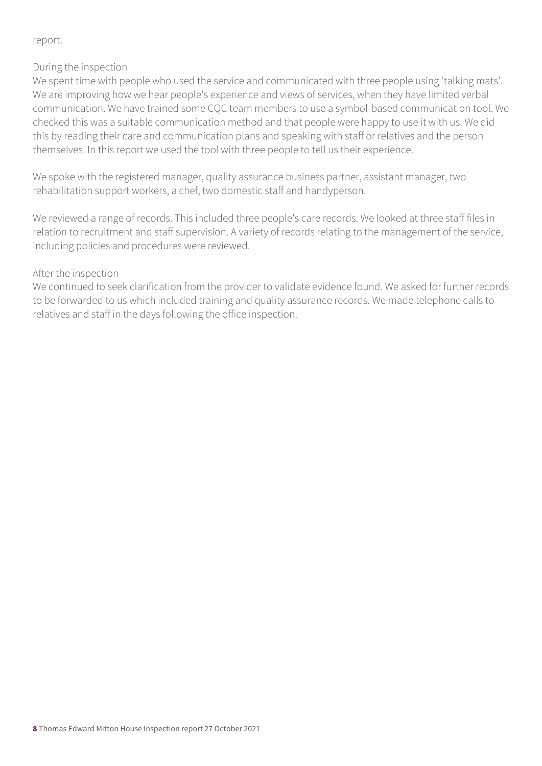#### report.

#### During the inspection

We spent time with people who used the service and communicated with three people using 'talking mats'. We are improving how we hear people's experience and views of services, when they have limited verbal communication. We have trained some CQC team members to use a symbol-based communication tool. We checked this was a suitable communication method and that people were happy to use it with us. We did this by reading their care and communication plans and speaking with staff or relatives and the person themselves. In this report we used the tool with three people to tell us their experience.

We spoke with the registered manager, quality assurance business partner, assistant manager, two rehabilitation support workers, a chef, two domestic staff and handyperson.

We reviewed a range of records. This included three people's care records. We looked at three staff files in relation to recruitment and staff supervision. A variety of records relating to the management of the service, including policies and procedures were reviewed.

#### After the inspection

We continued to seek clarification from the provider to validate evidence found. We asked for further records to be forwarded to us which included training and quality assurance records. We made telephone calls to relatives and staff in the days following the office inspection.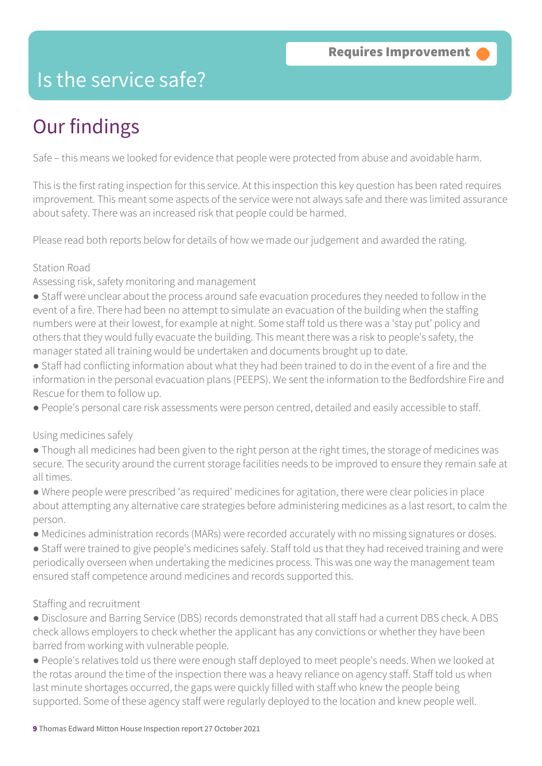### Is the service safe?

### Our findings

Safe – this means we looked for evidence that people were protected from abuse and avoidable harm.

This is the first rating inspection for this service. At this inspection this key question has been rated requires improvement. This meant some aspects of the service were not always safe and there was limited assurance about safety. There was an increased risk that people could be harmed.

Please read both reports below for details of how we made our judgement and awarded the rating.

#### Station Road

Assessing risk, safety monitoring and management

- Staff were unclear about the process around safe evacuation procedures they needed to follow in the event of a fire. There had been no attempt to simulate an evacuation of the building when the staffing numbers were at their lowest, for example at night. Some staff told us there was a 'stay put' policy and others that they would fully evacuate the building. This meant there was a risk to people's safety, the manager stated all training would be undertaken and documents brought up to date.
- Staff had conflicting information about what they had been trained to do in the event of a fire and the information in the personal evacuation plans (PEEPS). We sent the information to the Bedfordshire Fire and Rescue for them to follow up.
- People's personal care risk assessments were person centred, detailed and easily accessible to staff.

#### Using medicines safely

- Though all medicines had been given to the right person at the right times, the storage of medicines was secure. The security around the current storage facilities needs to be improved to ensure they remain safe at all times.
- Where people were prescribed 'as required' medicines for agitation, there were clear policies in place about attempting any alternative care strategies before administering medicines as a last resort, to calm the person.
- Medicines administration records (MARs) were recorded accurately with no missing signatures or doses.
- Staff were trained to give people's medicines safely. Staff told us that they had received training and were periodically overseen when undertaking the medicines process. This was one way the management team ensured staff competence around medicines and records supported this.

#### Staffing and recruitment

- Disclosure and Barring Service (DBS) records demonstrated that all staff had a current DBS check. A DBS check allows employers to check whether the applicant has any convictions or whether they have been barred from working with vulnerable people.
- People's relatives told us there were enough staff deployed to meet people's needs. When we looked at the rotas around the time of the inspection there was a heavy reliance on agency staff. Staff told us when last minute shortages occurred, the gaps were quickly filled with staff who knew the people being supported. Some of these agency staff were regularly deployed to the location and knew people well.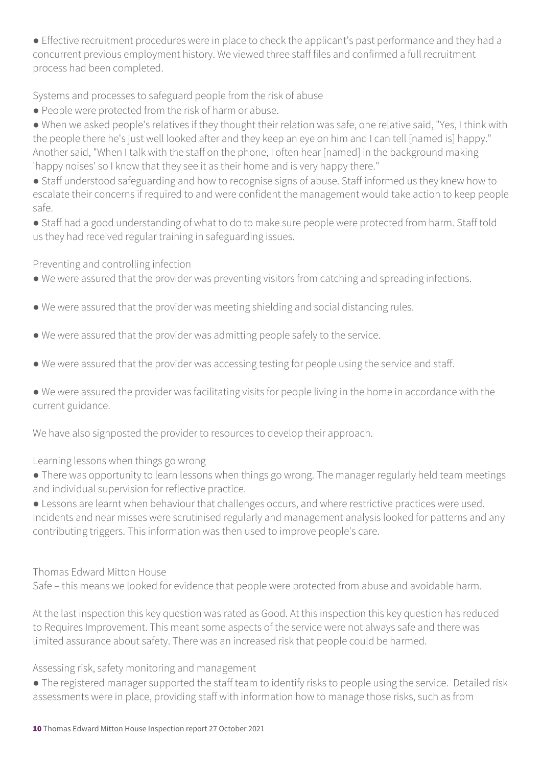● Effective recruitment procedures were in place to check the applicant's past performance and they had a concurrent previous employment history. We viewed three staff files and confirmed a full recruitment process had been completed.

Systems and processes to safeguard people from the risk of abuse

● People were protected from the risk of harm or abuse.

● When we asked people's relatives if they thought their relation was safe, one relative said, "Yes, I think with the people there he's just well looked after and they keep an eye on him and I can tell [named is] happy." Another said, "When I talk with the staff on the phone, I often hear [named] in the background making 'happy noises' so I know that they see it as their home and is very happy there."

● Staff understood safeguarding and how to recognise signs of abuse. Staff informed us they knew how to escalate their concerns if required to and were confident the management would take action to keep people safe.

● Staff had a good understanding of what to do to make sure people were protected from harm. Staff told us they had received regular training in safeguarding issues.

Preventing and controlling infection

- We were assured that the provider was preventing visitors from catching and spreading infections.
- We were assured that the provider was meeting shielding and social distancing rules.
- We were assured that the provider was admitting people safely to the service.
- We were assured that the provider was accessing testing for people using the service and staff.

● We were assured the provider was facilitating visits for people living in the home in accordance with the current guidance.

We have also signposted the provider to resources to develop their approach.

Learning lessons when things go wrong

● There was opportunity to learn lessons when things go wrong. The manager regularly held team meetings and individual supervision for reflective practice.

● Lessons are learnt when behaviour that challenges occurs, and where restrictive practices were used. Incidents and near misses were scrutinised regularly and management analysis looked for patterns and any contributing triggers. This information was then used to improve people's care.

#### Thomas Edward Mitton House

Safe – this means we looked for evidence that people were protected from abuse and avoidable harm.

At the last inspection this key question was rated as Good. At this inspection this key question has reduced to Requires Improvement. This meant some aspects of the service were not always safe and there was limited assurance about safety. There was an increased risk that people could be harmed.

Assessing risk, safety monitoring and management

● The registered manager supported the staff team to identify risks to people using the service. Detailed risk assessments were in place, providing staff with information how to manage those risks, such as from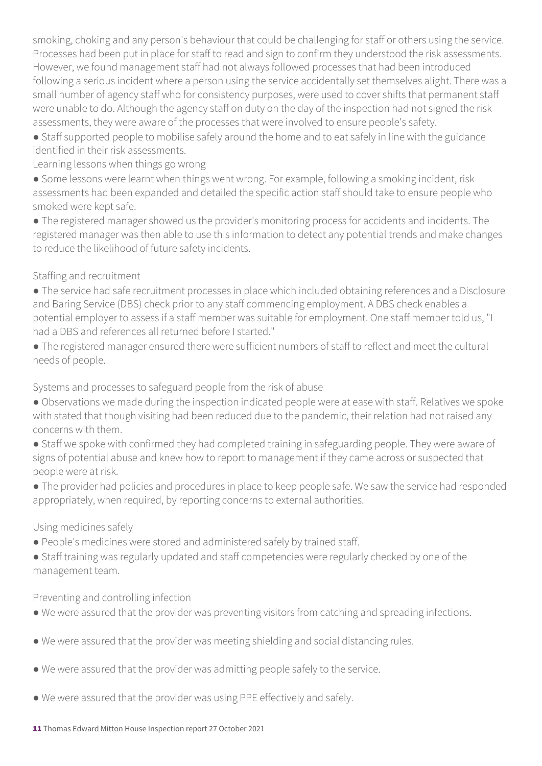smoking, choking and any person's behaviour that could be challenging for staff or others using the service. Processes had been put in place for staff to read and sign to confirm they understood the risk assessments. However, we found management staff had not always followed processes that had been introduced following a serious incident where a person using the service accidentally set themselves alight. There was a small number of agency staff who for consistency purposes, were used to cover shifts that permanent staff were unable to do. Although the agency staff on duty on the day of the inspection had not signed the risk assessments, they were aware of the processes that were involved to ensure people's safety.

● Staff supported people to mobilise safely around the home and to eat safely in line with the guidance identified in their risk assessments.

Learning lessons when things go wrong

● Some lessons were learnt when things went wrong. For example, following a smoking incident, risk assessments had been expanded and detailed the specific action staff should take to ensure people who smoked were kept safe.

● The registered manager showed us the provider's monitoring process for accidents and incidents. The registered manager was then able to use this information to detect any potential trends and make changes to reduce the likelihood of future safety incidents.

#### Staffing and recruitment

● The service had safe recruitment processes in place which included obtaining references and a Disclosure and Baring Service (DBS) check prior to any staff commencing employment. A DBS check enables a potential employer to assess if a staff member was suitable for employment. One staff member told us, "I had a DBS and references all returned before I started."

● The registered manager ensured there were sufficient numbers of staff to reflect and meet the cultural needs of people.

Systems and processes to safeguard people from the risk of abuse

- Observations we made during the inspection indicated people were at ease with staff. Relatives we spoke with stated that though visiting had been reduced due to the pandemic, their relation had not raised any concerns with them.
- Staff we spoke with confirmed they had completed training in safeguarding people. They were aware of signs of potential abuse and knew how to report to management if they came across or suspected that people were at risk.

● The provider had policies and procedures in place to keep people safe. We saw the service had responded appropriately, when required, by reporting concerns to external authorities.

#### Using medicines safely

- People's medicines were stored and administered safely by trained staff.
- Staff training was regularly updated and staff competencies were regularly checked by one of the management team.

#### Preventing and controlling infection

- We were assured that the provider was preventing visitors from catching and spreading infections.
- We were assured that the provider was meeting shielding and social distancing rules.
- We were assured that the provider was admitting people safely to the service.
- We were assured that the provider was using PPE effectively and safely.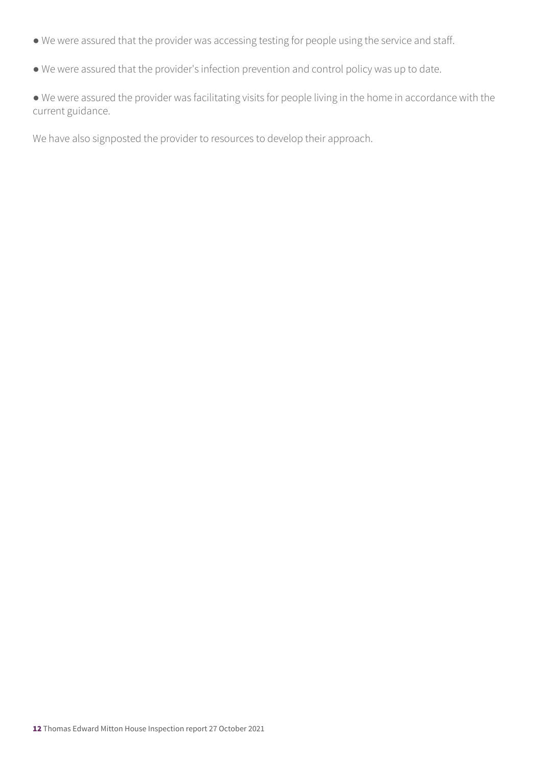- We were assured that the provider was accessing testing for people using the service and staff.
- We were assured that the provider's infection prevention and control policy was up to date.

● We were assured the provider was facilitating visits for people living in the home in accordance with the current guidance.

We have also signposted the provider to resources to develop their approach.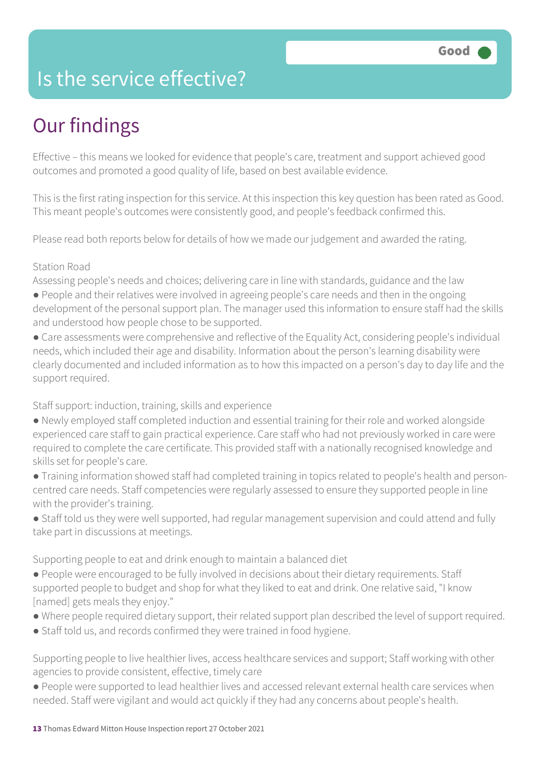### Is the service effective?

### Our findings

Effective – this means we looked for evidence that people's care, treatment and support achieved good outcomes and promoted a good quality of life, based on best available evidence.

This is the first rating inspection for this service. At this inspection this key question has been rated as Good. This meant people's outcomes were consistently good, and people's feedback confirmed this.

Please read both reports below for details of how we made our judgement and awarded the rating.

#### Station Road

Assessing people's needs and choices; delivering care in line with standards, guidance and the law

- People and their relatives were involved in agreeing people's care needs and then in the ongoing development of the personal support plan. The manager used this information to ensure staff had the skills and understood how people chose to be supported.
- Care assessments were comprehensive and reflective of the Equality Act, considering people's individual needs, which included their age and disability. Information about the person's learning disability were clearly documented and included information as to how this impacted on a person's day to day life and the support required.

Staff support: induction, training, skills and experience

- Newly employed staff completed induction and essential training for their role and worked alongside experienced care staff to gain practical experience. Care staff who had not previously worked in care were required to complete the care certificate. This provided staff with a nationally recognised knowledge and skills set for people's care.
- Training information showed staff had completed training in topics related to people's health and personcentred care needs. Staff competencies were regularly assessed to ensure they supported people in line with the provider's training.
- Staff told us they were well supported, had regular management supervision and could attend and fully take part in discussions at meetings.

Supporting people to eat and drink enough to maintain a balanced diet

- People were encouraged to be fully involved in decisions about their dietary requirements. Staff supported people to budget and shop for what they liked to eat and drink. One relative said, "I know [named] gets meals they enjoy."
- Where people required dietary support, their related support plan described the level of support required.
- Staff told us, and records confirmed they were trained in food hygiene.

Supporting people to live healthier lives, access healthcare services and support; Staff working with other agencies to provide consistent, effective, timely care

● People were supported to lead healthier lives and accessed relevant external health care services when needed. Staff were vigilant and would act quickly if they had any concerns about people's health.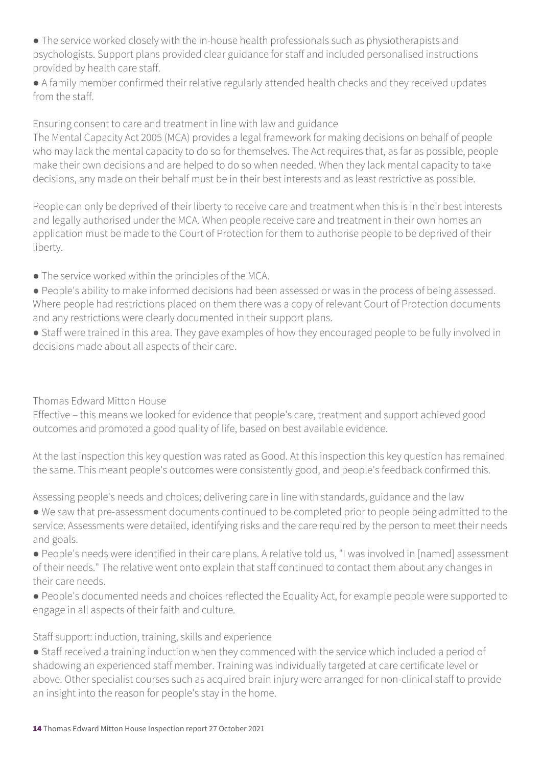● The service worked closely with the in-house health professionals such as physiotherapists and psychologists. Support plans provided clear guidance for staff and included personalised instructions provided by health care staff.

● A family member confirmed their relative regularly attended health checks and they received updates from the staff.

Ensuring consent to care and treatment in line with law and guidance

The Mental Capacity Act 2005 (MCA) provides a legal framework for making decisions on behalf of people who may lack the mental capacity to do so for themselves. The Act requires that, as far as possible, people make their own decisions and are helped to do so when needed. When they lack mental capacity to take decisions, any made on their behalf must be in their best interests and as least restrictive as possible.

People can only be deprived of their liberty to receive care and treatment when this is in their best interests and legally authorised under the MCA. When people receive care and treatment in their own homes an application must be made to the Court of Protection for them to authorise people to be deprived of their liberty.

● The service worked within the principles of the MCA.

● People's ability to make informed decisions had been assessed or was in the process of being assessed. Where people had restrictions placed on them there was a copy of relevant Court of Protection documents and any restrictions were clearly documented in their support plans.

● Staff were trained in this area. They gave examples of how they encouraged people to be fully involved in decisions made about all aspects of their care.

Thomas Edward Mitton House

Effective – this means we looked for evidence that people's care, treatment and support achieved good outcomes and promoted a good quality of life, based on best available evidence.

At the last inspection this key question was rated as Good. At this inspection this key question has remained the same. This meant people's outcomes were consistently good, and people's feedback confirmed this.

Assessing people's needs and choices; delivering care in line with standards, guidance and the law

● We saw that pre-assessment documents continued to be completed prior to people being admitted to the service. Assessments were detailed, identifying risks and the care required by the person to meet their needs and goals.

● People's needs were identified in their care plans. A relative told us, "I was involved in [named] assessment of their needs." The relative went onto explain that staff continued to contact them about any changes in their care needs.

● People's documented needs and choices reflected the Equality Act, for example people were supported to engage in all aspects of their faith and culture.

Staff support: induction, training, skills and experience

● Staff received a training induction when they commenced with the service which included a period of shadowing an experienced staff member. Training was individually targeted at care certificate level or above. Other specialist courses such as acquired brain injury were arranged for non-clinical staff to provide an insight into the reason for people's stay in the home.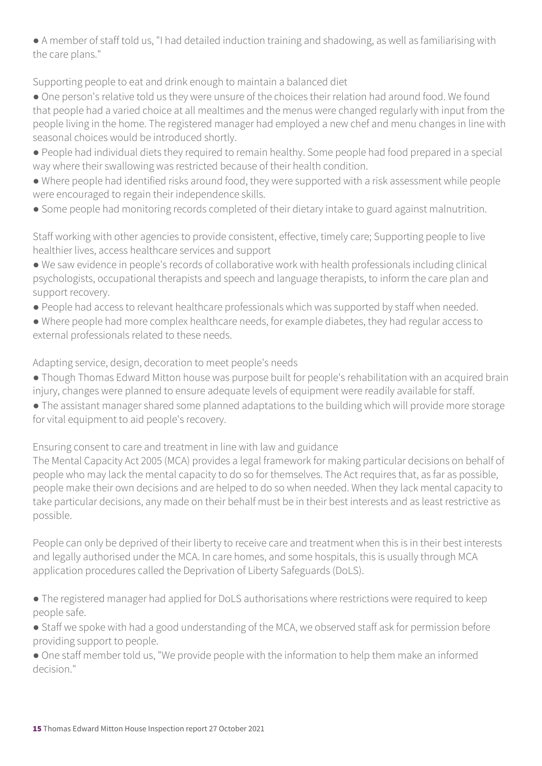● A member of staff told us, "I had detailed induction training and shadowing, as well as familiarising with the care plans."

Supporting people to eat and drink enough to maintain a balanced diet

- One person's relative told us they were unsure of the choices their relation had around food. We found that people had a varied choice at all mealtimes and the menus were changed regularly with input from the people living in the home. The registered manager had employed a new chef and menu changes in line with seasonal choices would be introduced shortly.
- People had individual diets they required to remain healthy. Some people had food prepared in a special way where their swallowing was restricted because of their health condition.
- Where people had identified risks around food, they were supported with a risk assessment while people were encouraged to regain their independence skills.
- Some people had monitoring records completed of their dietary intake to guard against malnutrition.

Staff working with other agencies to provide consistent, effective, timely care; Supporting people to live healthier lives, access healthcare services and support

- We saw evidence in people's records of collaborative work with health professionals including clinical psychologists, occupational therapists and speech and language therapists, to inform the care plan and support recovery.
- People had access to relevant healthcare professionals which was supported by staff when needed.
- Where people had more complex healthcare needs, for example diabetes, they had regular access to external professionals related to these needs.

Adapting service, design, decoration to meet people's needs

- Though Thomas Edward Mitton house was purpose built for people's rehabilitation with an acquired brain injury, changes were planned to ensure adequate levels of equipment were readily available for staff.
- The assistant manager shared some planned adaptations to the building which will provide more storage for vital equipment to aid people's recovery.

Ensuring consent to care and treatment in line with law and guidance

The Mental Capacity Act 2005 (MCA) provides a legal framework for making particular decisions on behalf of people who may lack the mental capacity to do so for themselves. The Act requires that, as far as possible, people make their own decisions and are helped to do so when needed. When they lack mental capacity to take particular decisions, any made on their behalf must be in their best interests and as least restrictive as possible.

People can only be deprived of their liberty to receive care and treatment when this is in their best interests and legally authorised under the MCA. In care homes, and some hospitals, this is usually through MCA application procedures called the Deprivation of Liberty Safeguards (DoLS).

● The registered manager had applied for DoLS authorisations where restrictions were required to keep people safe.

● Staff we spoke with had a good understanding of the MCA, we observed staff ask for permission before providing support to people.

● One staff member told us, "We provide people with the information to help them make an informed decision."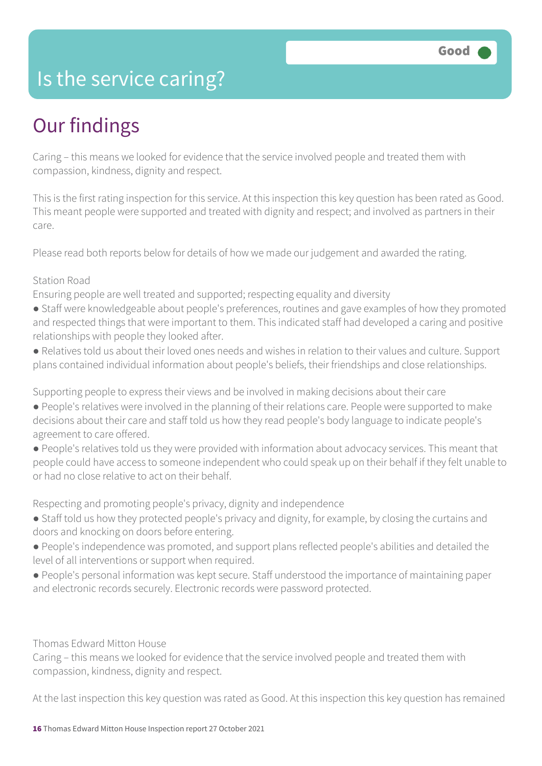### Is the service caring?

### Our findings

Caring – this means we looked for evidence that the service involved people and treated them with compassion, kindness, dignity and respect.

This is the first rating inspection for this service. At this inspection this key question has been rated as Good. This meant people were supported and treated with dignity and respect; and involved as partners in their care.

Please read both reports below for details of how we made our judgement and awarded the rating.

#### Station Road

Ensuring people are well treated and supported; respecting equality and diversity

- Staff were knowledgeable about people's preferences, routines and gave examples of how they promoted and respected things that were important to them. This indicated staff had developed a caring and positive relationships with people they looked after.
- Relatives told us about their loved ones needs and wishes in relation to their values and culture. Support plans contained individual information about people's beliefs, their friendships and close relationships.

Supporting people to express their views and be involved in making decisions about their care

- People's relatives were involved in the planning of their relations care. People were supported to make decisions about their care and staff told us how they read people's body language to indicate people's agreement to care offered.
- People's relatives told us they were provided with information about advocacy services. This meant that people could have access to someone independent who could speak up on their behalf if they felt unable to or had no close relative to act on their behalf.

Respecting and promoting people's privacy, dignity and independence

- Staff told us how they protected people's privacy and dignity, for example, by closing the curtains and doors and knocking on doors before entering.
- People's independence was promoted, and support plans reflected people's abilities and detailed the level of all interventions or support when required.
- People's personal information was kept secure. Staff understood the importance of maintaining paper and electronic records securely. Electronic records were password protected.

Thomas Edward Mitton House

Caring – this means we looked for evidence that the service involved people and treated them with compassion, kindness, dignity and respect.

At the last inspection this key question was rated as Good. At this inspection this key question has remained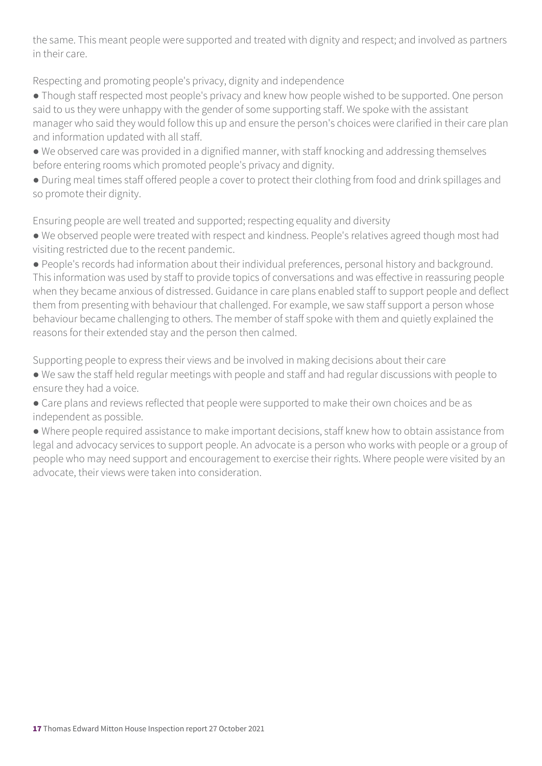the same. This meant people were supported and treated with dignity and respect; and involved as partners in their care.

Respecting and promoting people's privacy, dignity and independence

- Though staff respected most people's privacy and knew how people wished to be supported. One person said to us they were unhappy with the gender of some supporting staff. We spoke with the assistant manager who said they would follow this up and ensure the person's choices were clarified in their care plan and information updated with all staff.
- We observed care was provided in a dignified manner, with staff knocking and addressing themselves before entering rooms which promoted people's privacy and dignity.
- During meal times staff offered people a cover to protect their clothing from food and drink spillages and so promote their dignity.

Ensuring people are well treated and supported; respecting equality and diversity

- We observed people were treated with respect and kindness. People's relatives agreed though most had visiting restricted due to the recent pandemic.
- People's records had information about their individual preferences, personal history and background. This information was used by staff to provide topics of conversations and was effective in reassuring people when they became anxious of distressed. Guidance in care plans enabled staff to support people and deflect them from presenting with behaviour that challenged. For example, we saw staff support a person whose behaviour became challenging to others. The member of staff spoke with them and quietly explained the reasons for their extended stay and the person then calmed.

Supporting people to express their views and be involved in making decisions about their care

- We saw the staff held regular meetings with people and staff and had regular discussions with people to ensure they had a voice.
- Care plans and reviews reflected that people were supported to make their own choices and be as independent as possible.
- Where people required assistance to make important decisions, staff knew how to obtain assistance from legal and advocacy services to support people. An advocate is a person who works with people or a group of people who may need support and encouragement to exercise their rights. Where people were visited by an advocate, their views were taken into consideration.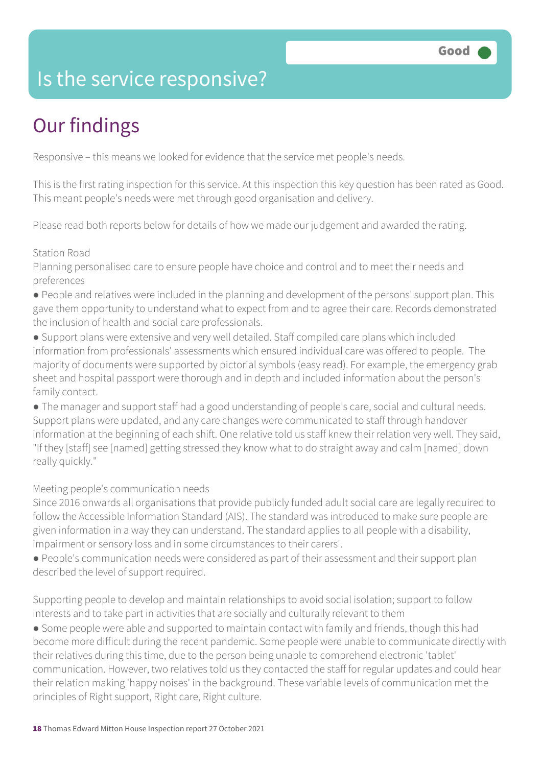### Is the service responsive?

### Our findings

Responsive – this means we looked for evidence that the service met people's needs.

This is the first rating inspection for this service. At this inspection this key question has been rated as Good. This meant people's needs were met through good organisation and delivery.

Please read both reports below for details of how we made our judgement and awarded the rating.

#### Station Road

Planning personalised care to ensure people have choice and control and to meet their needs and preferences

- People and relatives were included in the planning and development of the persons' support plan. This gave them opportunity to understand what to expect from and to agree their care. Records demonstrated the inclusion of health and social care professionals.
- Support plans were extensive and very well detailed. Staff compiled care plans which included information from professionals' assessments which ensured individual care was offered to people. The majority of documents were supported by pictorial symbols (easy read). For example, the emergency grab sheet and hospital passport were thorough and in depth and included information about the person's family contact.
- The manager and support staff had a good understanding of people's care, social and cultural needs. Support plans were updated, and any care changes were communicated to staff through handover information at the beginning of each shift. One relative told us staff knew their relation very well. They said, "If they [staff] see [named] getting stressed they know what to do straight away and calm [named] down really quickly."

#### Meeting people's communication needs

Since 2016 onwards all organisations that provide publicly funded adult social care are legally required to follow the Accessible Information Standard (AIS). The standard was introduced to make sure people are given information in a way they can understand. The standard applies to all people with a disability, impairment or sensory loss and in some circumstances to their carers'.

● People's communication needs were considered as part of their assessment and their support plan described the level of support required.

Supporting people to develop and maintain relationships to avoid social isolation; support to follow interests and to take part in activities that are socially and culturally relevant to them

● Some people were able and supported to maintain contact with family and friends, though this had become more difficult during the recent pandemic. Some people were unable to communicate directly with their relatives during this time, due to the person being unable to comprehend electronic 'tablet' communication. However, two relatives told us they contacted the staff for regular updates and could hear their relation making 'happy noises' in the background. These variable levels of communication met the principles of Right support, Right care, Right culture.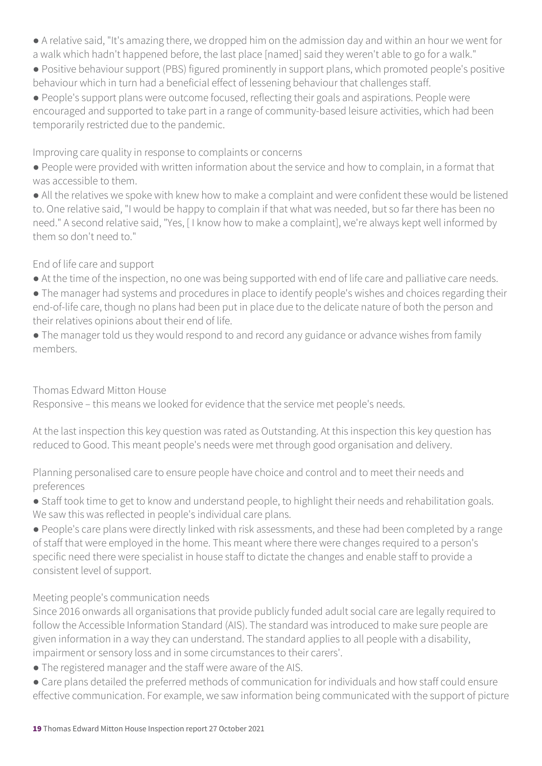- A relative said, "It's amazing there, we dropped him on the admission day and within an hour we went for a walk which hadn't happened before, the last place [named] said they weren't able to go for a walk."
- Positive behaviour support (PBS) figured prominently in support plans, which promoted people's positive behaviour which in turn had a beneficial effect of lessening behaviour that challenges staff.
- People's support plans were outcome focused, reflecting their goals and aspirations. People were encouraged and supported to take part in a range of community-based leisure activities, which had been temporarily restricted due to the pandemic.

#### Improving care quality in response to complaints or concerns

- People were provided with written information about the service and how to complain, in a format that was accessible to them.
- All the relatives we spoke with knew how to make a complaint and were confident these would be listened to. One relative said, "I would be happy to complain if that what was needed, but so far there has been no need." A second relative said, "Yes, [ I know how to make a complaint], we're always kept well informed by them so don't need to."

#### End of life care and support

- At the time of the inspection, no one was being supported with end of life care and palliative care needs.
- The manager had systems and procedures in place to identify people's wishes and choices regarding their end-of-life care, though no plans had been put in place due to the delicate nature of both the person and their relatives opinions about their end of life.
- The manager told us they would respond to and record any guidance or advance wishes from family members.

#### Thomas Edward Mitton House

Responsive – this means we looked for evidence that the service met people's needs.

At the last inspection this key question was rated as Outstanding. At this inspection this key question has reduced to Good. This meant people's needs were met through good organisation and delivery.

Planning personalised care to ensure people have choice and control and to meet their needs and preferences

● Staff took time to get to know and understand people, to highlight their needs and rehabilitation goals. We saw this was reflected in people's individual care plans.

● People's care plans were directly linked with risk assessments, and these had been completed by a range of staff that were employed in the home. This meant where there were changes required to a person's specific need there were specialist in house staff to dictate the changes and enable staff to provide a consistent level of support.

#### Meeting people's communication needs

Since 2016 onwards all organisations that provide publicly funded adult social care are legally required to follow the Accessible Information Standard (AIS). The standard was introduced to make sure people are given information in a way they can understand. The standard applies to all people with a disability, impairment or sensory loss and in some circumstances to their carers'.

- The registered manager and the staff were aware of the AIS.
- Care plans detailed the preferred methods of communication for individuals and how staff could ensure effective communication. For example, we saw information being communicated with the support of picture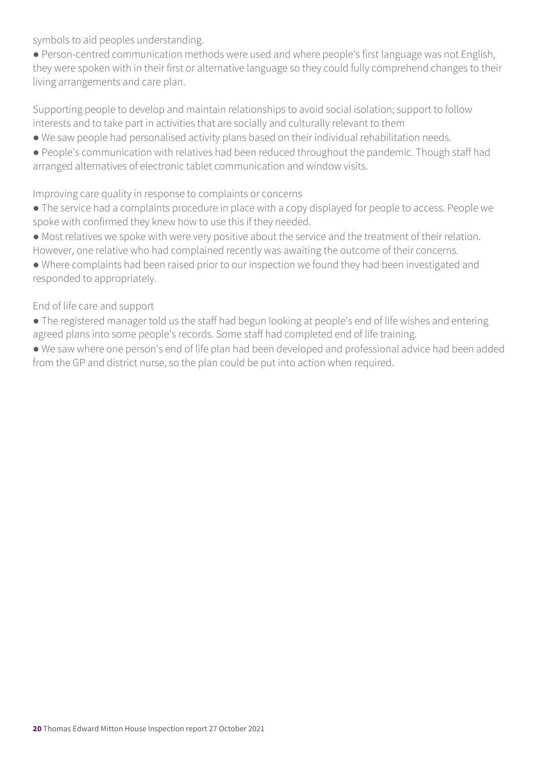symbols to aid peoples understanding.

● Person-centred communication methods were used and where people's first language was not English, they were spoken with in their first or alternative language so they could fully comprehend changes to their living arrangements and care plan.

Supporting people to develop and maintain relationships to avoid social isolation; support to follow interests and to take part in activities that are socially and culturally relevant to them

- We saw people had personalised activity plans based on their individual rehabilitation needs.
- People's communication with relatives had been reduced throughout the pandemic. Though staff had arranged alternatives of electronic tablet communication and window visits.

#### Improving care quality in response to complaints or concerns

● The service had a complaints procedure in place with a copy displayed for people to access. People we spoke with confirmed they knew how to use this if they needed.

● Most relatives we spoke with were very positive about the service and the treatment of their relation. However, one relative who had complained recently was awaiting the outcome of their concerns.

● Where complaints had been raised prior to our inspection we found they had been investigated and responded to appropriately.

#### End of life care and support

● The registered manager told us the staff had begun looking at people's end of life wishes and entering agreed plans into some people's records. Some staff had completed end of life training.

● We saw where one person's end of life plan had been developed and professional advice had been added from the GP and district nurse, so the plan could be put into action when required.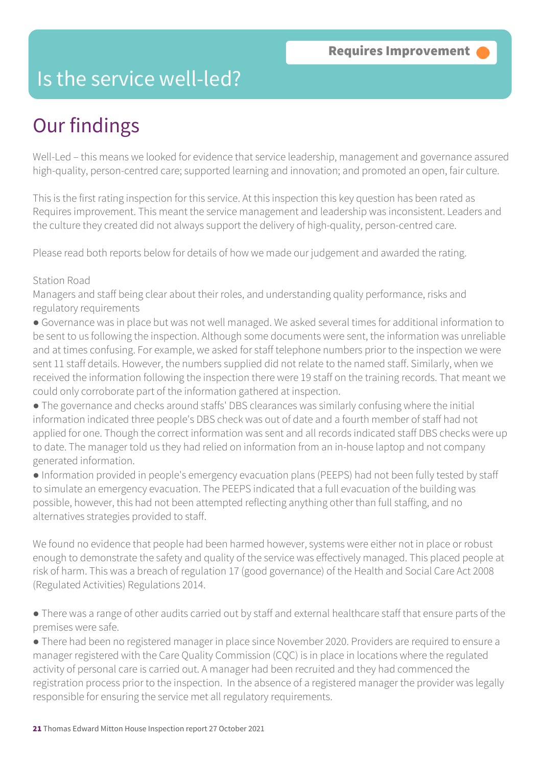### Is the service well-led?

### Our findings

Well-Led – this means we looked for evidence that service leadership, management and governance assured high-quality, person-centred care; supported learning and innovation; and promoted an open, fair culture.

This is the first rating inspection for this service. At this inspection this key question has been rated as Requires improvement. This meant the service management and leadership was inconsistent. Leaders and the culture they created did not always support the delivery of high-quality, person-centred care.

Please read both reports below for details of how we made our judgement and awarded the rating.

#### Station Road

Managers and staff being clear about their roles, and understanding quality performance, risks and regulatory requirements

● Governance was in place but was not well managed. We asked several times for additional information to be sent to us following the inspection. Although some documents were sent, the information was unreliable and at times confusing. For example, we asked for staff telephone numbers prior to the inspection we were sent 11 staff details. However, the numbers supplied did not relate to the named staff. Similarly, when we received the information following the inspection there were 19 staff on the training records. That meant we could only corroborate part of the information gathered at inspection.

● The governance and checks around staffs' DBS clearances was similarly confusing where the initial information indicated three people's DBS check was out of date and a fourth member of staff had not applied for one. Though the correct information was sent and all records indicated staff DBS checks were up to date. The manager told us they had relied on information from an in-house laptop and not company generated information.

● Information provided in people's emergency evacuation plans (PEEPS) had not been fully tested by staff to simulate an emergency evacuation. The PEEPS indicated that a full evacuation of the building was possible, however, this had not been attempted reflecting anything other than full staffing, and no alternatives strategies provided to staff.

We found no evidence that people had been harmed however, systems were either not in place or robust enough to demonstrate the safety and quality of the service was effectively managed. This placed people at risk of harm. This was a breach of regulation 17 (good governance) of the Health and Social Care Act 2008 (Regulated Activities) Regulations 2014.

● There was a range of other audits carried out by staff and external healthcare staff that ensure parts of the premises were safe.

● There had been no registered manager in place since November 2020. Providers are required to ensure a manager registered with the Care Quality Commission (CQC) is in place in locations where the regulated activity of personal care is carried out. A manager had been recruited and they had commenced the registration process prior to the inspection. In the absence of a registered manager the provider was legally responsible for ensuring the service met all regulatory requirements.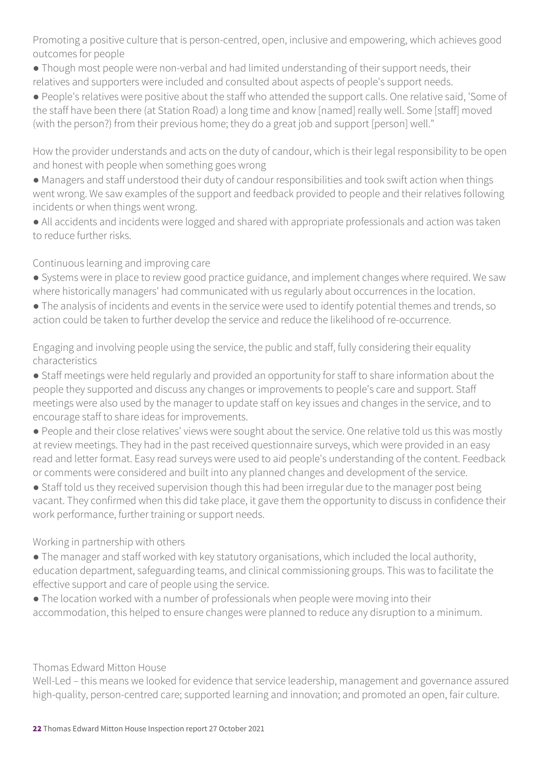Promoting a positive culture that is person-centred, open, inclusive and empowering, which achieves good outcomes for people

- Though most people were non-verbal and had limited understanding of their support needs, their relatives and supporters were included and consulted about aspects of people's support needs.
- People's relatives were positive about the staff who attended the support calls. One relative said, 'Some of the staff have been there (at Station Road) a long time and know [named] really well. Some [staff] moved (with the person?) from their previous home; they do a great job and support [person] well."

How the provider understands and acts on the duty of candour, which is their legal responsibility to be open and honest with people when something goes wrong

- Managers and staff understood their duty of candour responsibilities and took swift action when things went wrong. We saw examples of the support and feedback provided to people and their relatives following incidents or when things went wrong.
- All accidents and incidents were logged and shared with appropriate professionals and action was taken to reduce further risks.

#### Continuous learning and improving care

- Systems were in place to review good practice guidance, and implement changes where required. We saw where historically managers' had communicated with us regularly about occurrences in the location.
- The analysis of incidents and events in the service were used to identify potential themes and trends, so action could be taken to further develop the service and reduce the likelihood of re-occurrence.

Engaging and involving people using the service, the public and staff, fully considering their equality characteristics

- Staff meetings were held regularly and provided an opportunity for staff to share information about the people they supported and discuss any changes or improvements to people's care and support. Staff meetings were also used by the manager to update staff on key issues and changes in the service, and to encourage staff to share ideas for improvements.
- People and their close relatives' views were sought about the service. One relative told us this was mostly at review meetings. They had in the past received questionnaire surveys, which were provided in an easy read and letter format. Easy read surveys were used to aid people's understanding of the content. Feedback or comments were considered and built into any planned changes and development of the service.
- Staff told us they received supervision though this had been irregular due to the manager post being vacant. They confirmed when this did take place, it gave them the opportunity to discuss in confidence their work performance, further training or support needs.

#### Working in partnership with others

- The manager and staff worked with key statutory organisations, which included the local authority, education department, safeguarding teams, and clinical commissioning groups. This was to facilitate the effective support and care of people using the service.
- The location worked with a number of professionals when people were moving into their accommodation, this helped to ensure changes were planned to reduce any disruption to a minimum.

#### Thomas Edward Mitton House

Well-Led – this means we looked for evidence that service leadership, management and governance assured high-quality, person-centred care; supported learning and innovation; and promoted an open, fair culture.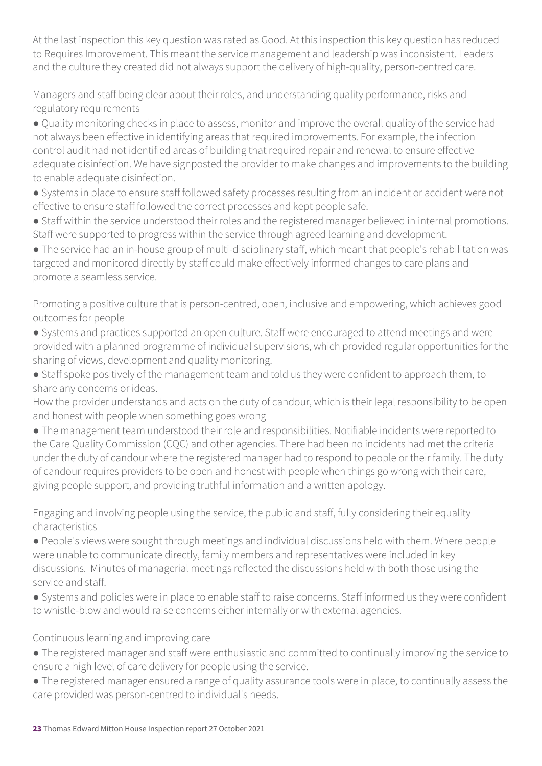At the last inspection this key question was rated as Good. At this inspection this key question has reduced to Requires Improvement. This meant the service management and leadership was inconsistent. Leaders and the culture they created did not always support the delivery of high-quality, person-centred care.

Managers and staff being clear about their roles, and understanding quality performance, risks and regulatory requirements

● Quality monitoring checks in place to assess, monitor and improve the overall quality of the service had not always been effective in identifying areas that required improvements. For example, the infection control audit had not identified areas of building that required repair and renewal to ensure effective adequate disinfection. We have signposted the provider to make changes and improvements to the building to enable adequate disinfection.

● Systems in place to ensure staff followed safety processes resulting from an incident or accident were not effective to ensure staff followed the correct processes and kept people safe.

● Staff within the service understood their roles and the registered manager believed in internal promotions. Staff were supported to progress within the service through agreed learning and development.

● The service had an in-house group of multi-disciplinary staff, which meant that people's rehabilitation was targeted and monitored directly by staff could make effectively informed changes to care plans and promote a seamless service.

Promoting a positive culture that is person-centred, open, inclusive and empowering, which achieves good outcomes for people

- Systems and practices supported an open culture. Staff were encouraged to attend meetings and were provided with a planned programme of individual supervisions, which provided regular opportunities for the sharing of views, development and quality monitoring.
- Staff spoke positively of the management team and told us they were confident to approach them, to share any concerns or ideas.

How the provider understands and acts on the duty of candour, which is their legal responsibility to be open and honest with people when something goes wrong

● The management team understood their role and responsibilities. Notifiable incidents were reported to the Care Quality Commission (CQC) and other agencies. There had been no incidents had met the criteria under the duty of candour where the registered manager had to respond to people or their family. The duty of candour requires providers to be open and honest with people when things go wrong with their care, giving people support, and providing truthful information and a written apology.

Engaging and involving people using the service, the public and staff, fully considering their equality characteristics

● People's views were sought through meetings and individual discussions held with them. Where people were unable to communicate directly, family members and representatives were included in key discussions. Minutes of managerial meetings reflected the discussions held with both those using the service and staff.

● Systems and policies were in place to enable staff to raise concerns. Staff informed us they were confident to whistle-blow and would raise concerns either internally or with external agencies.

#### Continuous learning and improving care

- The registered manager and staff were enthusiastic and committed to continually improving the service to ensure a high level of care delivery for people using the service.
- The registered manager ensured a range of quality assurance tools were in place, to continually assess the care provided was person-centred to individual's needs.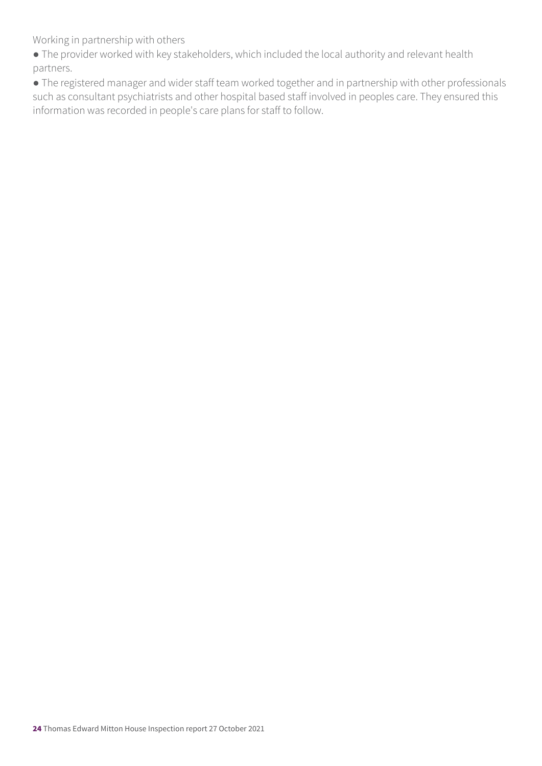Working in partnership with others

● The provider worked with key stakeholders, which included the local authority and relevant health partners.

● The registered manager and wider staff team worked together and in partnership with other professionals such as consultant psychiatrists and other hospital based staff involved in peoples care. They ensured this information was recorded in people's care plans for staff to follow.